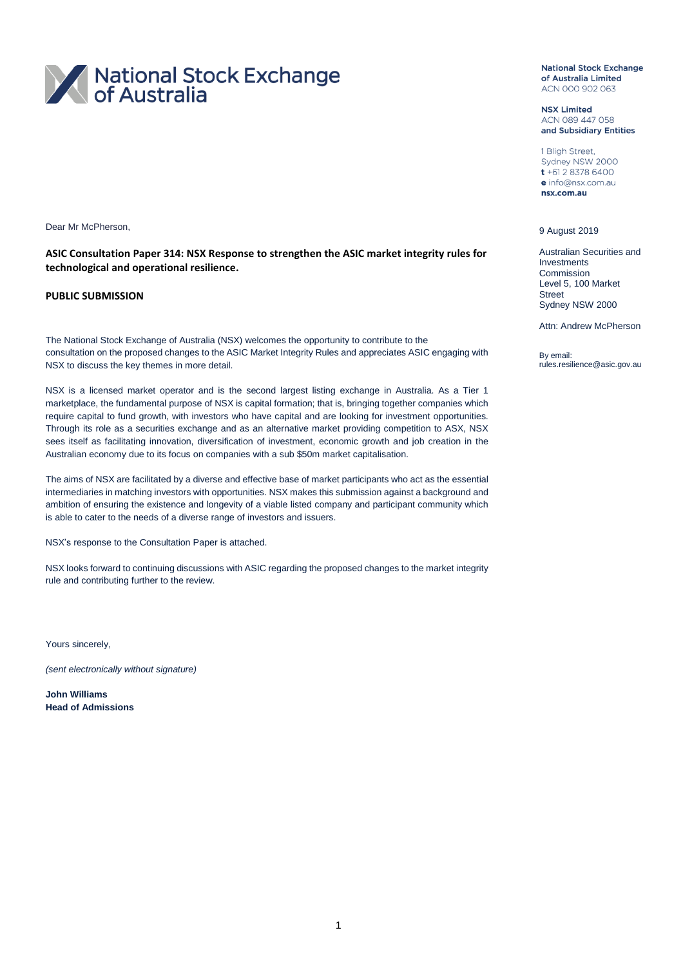

Dear Mr McPherson,

**ASIC Consultation Paper 314: NSX Response to strengthen the ASIC market integrity rules for technological and operational resilience.**

#### **PUBLIC SUBMISSION**

The National Stock Exchange of Australia (NSX) welcomes the opportunity to contribute to the consultation on the proposed changes to the ASIC Market Integrity Rules and appreciates ASIC engaging with NSX to discuss the key themes in more detail.

NSX is a licensed market operator and is the second largest listing exchange in Australia. As a Tier 1 marketplace, the fundamental purpose of NSX is capital formation; that is, bringing together companies which require capital to fund growth, with investors who have capital and are looking for investment opportunities. Through its role as a securities exchange and as an alternative market providing competition to ASX, NSX sees itself as facilitating innovation, diversification of investment, economic growth and job creation in the Australian economy due to its focus on companies with a sub \$50m market capitalisation.

The aims of NSX are facilitated by a diverse and effective base of market participants who act as the essential intermediaries in matching investors with opportunities. NSX makes this submission against a background and ambition of ensuring the existence and longevity of a viable listed company and participant community which is able to cater to the needs of a diverse range of investors and issuers.

NSX's response to the Consultation Paper is attached.

NSX looks forward to continuing discussions with ASIC regarding the proposed changes to the market integrity rule and contributing further to the review.

Yours sincerely,

*(sent electronically without signature)*

**John Williams Head of Admissions** **National Stock Exchange** of Australia Limited ACN 000 902 063

**NSX Limited** ACN 089 447 058 and Subsidiary Entities

1 Bligh Street, Sydney NSW 2000  $t + 61283786400$ e info@nsx.com.au nsx.com.au

#### 9 August 2019

Australian Securities and Investments Commission Level 5, 100 Market **Street** Sydney NSW 2000

Attn: Andrew McPherson

By email: rules.resilience@asic.gov.au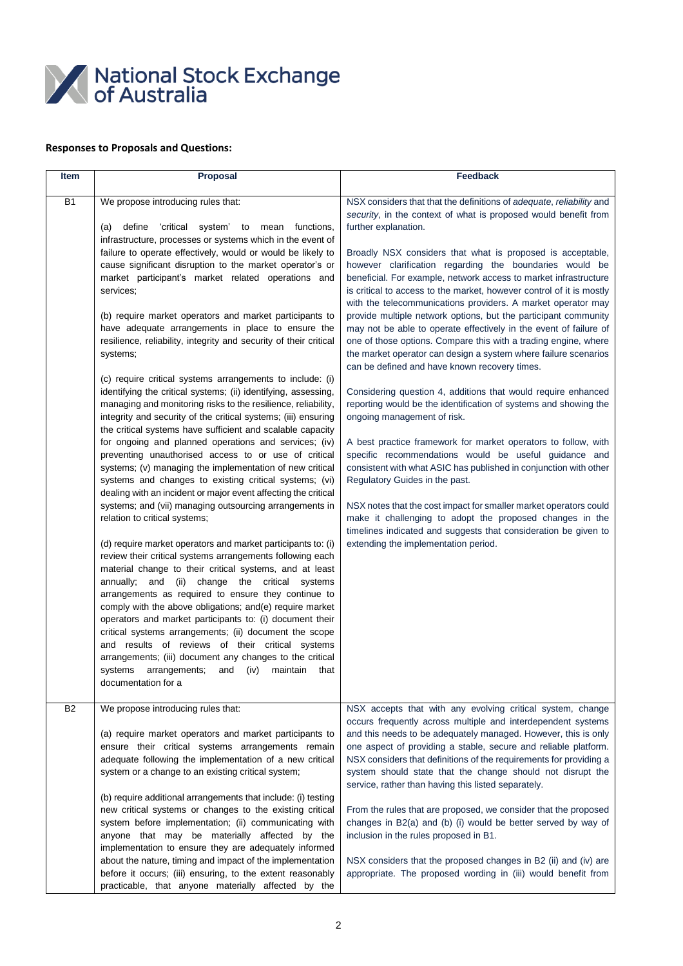

### **Responses to Proposals and Questions:**

| <b>Item</b>    | <b>Proposal</b>                                                                                                                                                                                                                                                                                                                                                                                                                                                                                                                                                                                                                                                                                                                                                                                                                                                                                                                                                                                                                                                                                                                                                                                                                                                                                                                                                                                                                                                                                                                                                                                                                                                                                                                                                                                                                                                                                                                                                                               | <b>Feedback</b>                                                                                                                                                                                                                                                                                                                                                                                                                                                                                                                                                                                                                                                                                                                                                                                                                                                                                                                                                                                                                                                                                                                                                                                                                                                                                                                                                                                                                                                                       |
|----------------|-----------------------------------------------------------------------------------------------------------------------------------------------------------------------------------------------------------------------------------------------------------------------------------------------------------------------------------------------------------------------------------------------------------------------------------------------------------------------------------------------------------------------------------------------------------------------------------------------------------------------------------------------------------------------------------------------------------------------------------------------------------------------------------------------------------------------------------------------------------------------------------------------------------------------------------------------------------------------------------------------------------------------------------------------------------------------------------------------------------------------------------------------------------------------------------------------------------------------------------------------------------------------------------------------------------------------------------------------------------------------------------------------------------------------------------------------------------------------------------------------------------------------------------------------------------------------------------------------------------------------------------------------------------------------------------------------------------------------------------------------------------------------------------------------------------------------------------------------------------------------------------------------------------------------------------------------------------------------------------------------|---------------------------------------------------------------------------------------------------------------------------------------------------------------------------------------------------------------------------------------------------------------------------------------------------------------------------------------------------------------------------------------------------------------------------------------------------------------------------------------------------------------------------------------------------------------------------------------------------------------------------------------------------------------------------------------------------------------------------------------------------------------------------------------------------------------------------------------------------------------------------------------------------------------------------------------------------------------------------------------------------------------------------------------------------------------------------------------------------------------------------------------------------------------------------------------------------------------------------------------------------------------------------------------------------------------------------------------------------------------------------------------------------------------------------------------------------------------------------------------|
| <b>B1</b>      | We propose introducing rules that:<br>define<br>'critical system'<br>functions,<br>(a)<br>to<br>mean<br>infrastructure, processes or systems which in the event of<br>failure to operate effectively, would or would be likely to<br>cause significant disruption to the market operator's or<br>market participant's market related operations and<br>services;<br>(b) require market operators and market participants to<br>have adequate arrangements in place to ensure the<br>resilience, reliability, integrity and security of their critical<br>systems;<br>(c) require critical systems arrangements to include: (i)<br>identifying the critical systems; (ii) identifying, assessing,<br>managing and monitoring risks to the resilience, reliability,<br>integrity and security of the critical systems; (iii) ensuring<br>the critical systems have sufficient and scalable capacity<br>for ongoing and planned operations and services; (iv)<br>preventing unauthorised access to or use of critical<br>systems; (v) managing the implementation of new critical<br>systems and changes to existing critical systems; (vi)<br>dealing with an incident or major event affecting the critical<br>systems; and (vii) managing outsourcing arrangements in<br>relation to critical systems;<br>(d) require market operators and market participants to: (i)<br>review their critical systems arrangements following each<br>material change to their critical systems, and at least<br>annually; and (ii) change the critical systems<br>arrangements as required to ensure they continue to<br>comply with the above obligations; and (e) require market<br>operators and market participants to: (i) document their<br>critical systems arrangements; (ii) document the scope<br>and results of reviews of their critical systems<br>arrangements; (iii) document any changes to the critical<br>systems arrangements;<br>and<br>(iv)<br>maintain<br>that<br>documentation for a | NSX considers that that the definitions of adequate, reliability and<br>security, in the context of what is proposed would benefit from<br>further explanation.<br>Broadly NSX considers that what is proposed is acceptable,<br>however clarification regarding the boundaries would be<br>beneficial. For example, network access to market infrastructure<br>is critical to access to the market, however control of it is mostly<br>with the telecommunications providers. A market operator may<br>provide multiple network options, but the participant community<br>may not be able to operate effectively in the event of failure of<br>one of those options. Compare this with a trading engine, where<br>the market operator can design a system where failure scenarios<br>can be defined and have known recovery times.<br>Considering question 4, additions that would require enhanced<br>reporting would be the identification of systems and showing the<br>ongoing management of risk.<br>A best practice framework for market operators to follow, with<br>specific recommendations would be useful guidance and<br>consistent with what ASIC has published in conjunction with other<br>Regulatory Guides in the past.<br>NSX notes that the cost impact for smaller market operators could<br>make it challenging to adopt the proposed changes in the<br>timelines indicated and suggests that consideration be given to<br>extending the implementation period. |
| B <sub>2</sub> | We propose introducing rules that:<br>(a) require market operators and market participants to<br>ensure their critical systems arrangements remain<br>adequate following the implementation of a new critical<br>system or a change to an existing critical system;<br>(b) require additional arrangements that include: (i) testing<br>new critical systems or changes to the existing critical<br>system before implementation; (ii) communicating with<br>anyone that may be materially affected by the<br>implementation to ensure they are adequately informed<br>about the nature, timing and impact of the implementation<br>before it occurs; (iii) ensuring, to the extent reasonably<br>practicable, that anyone materially affected by the                                                                                                                                                                                                                                                                                                                                                                                                                                                                                                                                                                                                                                                                                                                                                                                                                                                                                                                                                                                                                                                                                                                                                                                                                                         | NSX accepts that with any evolving critical system, change<br>occurs frequently across multiple and interdependent systems<br>and this needs to be adequately managed. However, this is only<br>one aspect of providing a stable, secure and reliable platform.<br>NSX considers that definitions of the requirements for providing a<br>system should state that the change should not disrupt the<br>service, rather than having this listed separately.<br>From the rules that are proposed, we consider that the proposed<br>changes in B2(a) and (b) (i) would be better served by way of<br>inclusion in the rules proposed in B1.<br>NSX considers that the proposed changes in B2 (ii) and (iv) are<br>appropriate. The proposed wording in (iii) would benefit from                                                                                                                                                                                                                                                                                                                                                                                                                                                                                                                                                                                                                                                                                                          |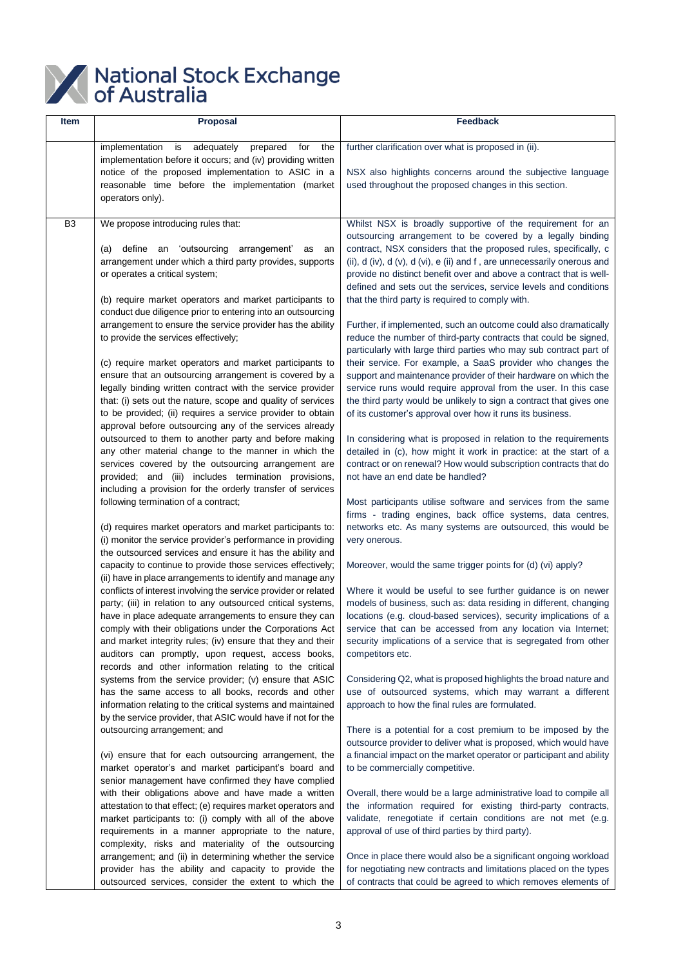

| Item           | <b>Proposal</b>                                                                                                                                                                                                                                                                                                                                                                                                                      | <b>Feedback</b>                                                                                                                                                                                                                                                                                                                                                                                           |
|----------------|--------------------------------------------------------------------------------------------------------------------------------------------------------------------------------------------------------------------------------------------------------------------------------------------------------------------------------------------------------------------------------------------------------------------------------------|-----------------------------------------------------------------------------------------------------------------------------------------------------------------------------------------------------------------------------------------------------------------------------------------------------------------------------------------------------------------------------------------------------------|
|                | adequately<br>implementation<br>is<br>prepared for<br>the                                                                                                                                                                                                                                                                                                                                                                            | further clarification over what is proposed in (ii).                                                                                                                                                                                                                                                                                                                                                      |
|                | implementation before it occurs; and (iv) providing written<br>notice of the proposed implementation to ASIC in a<br>reasonable time before the implementation (market<br>operators only).                                                                                                                                                                                                                                           | NSX also highlights concerns around the subjective language<br>used throughout the proposed changes in this section.                                                                                                                                                                                                                                                                                      |
| B <sub>3</sub> | We propose introducing rules that:                                                                                                                                                                                                                                                                                                                                                                                                   | Whilst NSX is broadly supportive of the requirement for an                                                                                                                                                                                                                                                                                                                                                |
|                | define an 'outsourcing arrangement' as<br>(a)<br>an<br>arrangement under which a third party provides, supports<br>or operates a critical system;<br>(b) require market operators and market participants to                                                                                                                                                                                                                         | outsourcing arrangement to be covered by a legally binding<br>contract, NSX considers that the proposed rules, specifically, c<br>(ii), d (iv), d (v), d (vi), e (ii) and f, are unnecessarily onerous and<br>provide no distinct benefit over and above a contract that is well-<br>defined and sets out the services, service levels and conditions<br>that the third party is required to comply with. |
|                | conduct due diligence prior to entering into an outsourcing<br>arrangement to ensure the service provider has the ability<br>to provide the services effectively;<br>(c) require market operators and market participants to                                                                                                                                                                                                         | Further, if implemented, such an outcome could also dramatically<br>reduce the number of third-party contracts that could be signed,<br>particularly with large third parties who may sub contract part of<br>their service. For example, a SaaS provider who changes the                                                                                                                                 |
|                | ensure that an outsourcing arrangement is covered by a<br>legally binding written contract with the service provider                                                                                                                                                                                                                                                                                                                 | support and maintenance provider of their hardware on which the<br>service runs would require approval from the user. In this case                                                                                                                                                                                                                                                                        |
|                | that: (i) sets out the nature, scope and quality of services<br>to be provided; (ii) requires a service provider to obtain<br>approval before outsourcing any of the services already                                                                                                                                                                                                                                                | the third party would be unlikely to sign a contract that gives one<br>of its customer's approval over how it runs its business.                                                                                                                                                                                                                                                                          |
|                | outsourced to them to another party and before making<br>any other material change to the manner in which the<br>services covered by the outsourcing arrangement are<br>provided; and (iii) includes termination provisions,<br>including a provision for the orderly transfer of services                                                                                                                                           | In considering what is proposed in relation to the requirements<br>detailed in (c), how might it work in practice: at the start of a<br>contract or on renewal? How would subscription contracts that do<br>not have an end date be handled?                                                                                                                                                              |
|                | following termination of a contract;<br>(d) requires market operators and market participants to:<br>(i) monitor the service provider's performance in providing                                                                                                                                                                                                                                                                     | Most participants utilise software and services from the same<br>firms - trading engines, back office systems, data centres,<br>networks etc. As many systems are outsourced, this would be<br>very onerous.                                                                                                                                                                                              |
|                | the outsourced services and ensure it has the ability and<br>capacity to continue to provide those services effectively;<br>(ii) have in place arrangements to identify and manage any                                                                                                                                                                                                                                               | Moreover, would the same trigger points for (d) (vi) apply?                                                                                                                                                                                                                                                                                                                                               |
|                | conflicts of interest involving the service provider or related<br>party; (iii) in relation to any outsourced critical systems,<br>have in place adequate arrangements to ensure they can<br>comply with their obligations under the Corporations Act<br>and market integrity rules; (iv) ensure that they and their<br>auditors can promptly, upon request, access books,<br>records and other information relating to the critical | Where it would be useful to see further guidance is on newer<br>models of business, such as: data residing in different, changing<br>locations (e.g. cloud-based services), security implications of a<br>service that can be accessed from any location via Internet;<br>security implications of a service that is segregated from other<br>competitors etc.                                            |
|                | systems from the service provider; (v) ensure that ASIC<br>has the same access to all books, records and other<br>information relating to the critical systems and maintained<br>by the service provider, that ASIC would have if not for the                                                                                                                                                                                        | Considering Q2, what is proposed highlights the broad nature and<br>use of outsourced systems, which may warrant a different<br>approach to how the final rules are formulated.                                                                                                                                                                                                                           |
|                | outsourcing arrangement; and<br>(vi) ensure that for each outsourcing arrangement, the                                                                                                                                                                                                                                                                                                                                               | There is a potential for a cost premium to be imposed by the<br>outsource provider to deliver what is proposed, which would have<br>a financial impact on the market operator or participant and ability                                                                                                                                                                                                  |
|                | market operator's and market participant's board and<br>senior management have confirmed they have complied                                                                                                                                                                                                                                                                                                                          | to be commercially competitive.                                                                                                                                                                                                                                                                                                                                                                           |
|                | with their obligations above and have made a written<br>attestation to that effect; (e) requires market operators and<br>market participants to: (i) comply with all of the above<br>requirements in a manner appropriate to the nature,<br>complexity, risks and materiality of the outsourcing                                                                                                                                     | Overall, there would be a large administrative load to compile all<br>the information required for existing third-party contracts,<br>validate, renegotiate if certain conditions are not met (e.g.<br>approval of use of third parties by third party).                                                                                                                                                  |
|                | arrangement; and (ii) in determining whether the service<br>provider has the ability and capacity to provide the<br>outsourced services, consider the extent to which the                                                                                                                                                                                                                                                            | Once in place there would also be a significant ongoing workload<br>for negotiating new contracts and limitations placed on the types<br>of contracts that could be agreed to which removes elements of                                                                                                                                                                                                   |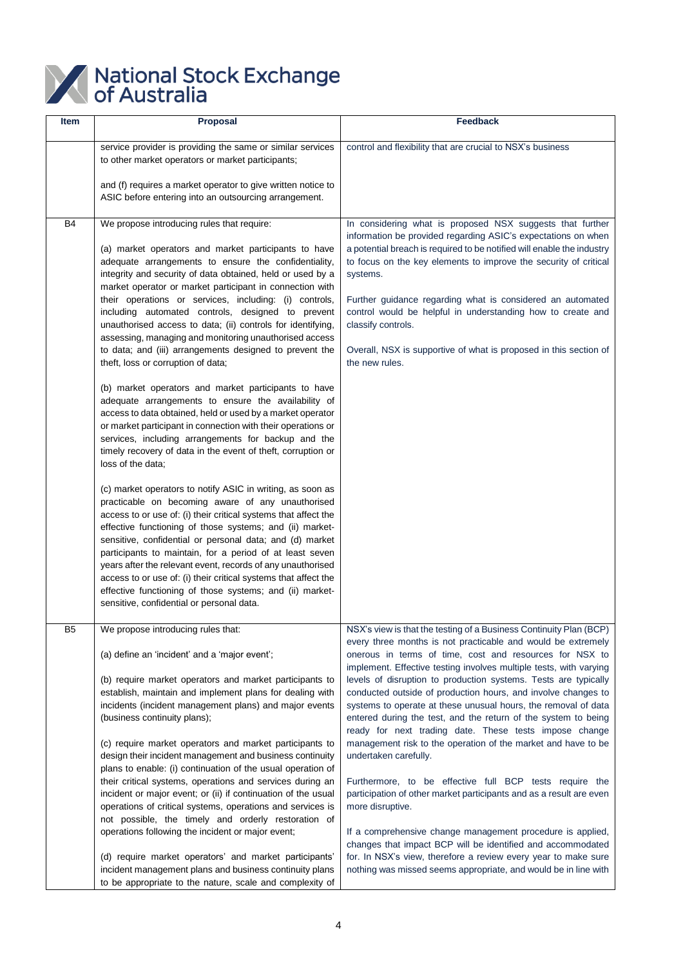

| Item      | <b>Proposal</b>                                                                                                                                                                                                                                                                                                                                                                                                                                                                                                                                                                                                                                                                                                                                                                                                                                                                                                                                                                                                                                                                                                                                                                                                                                                                                                                                                                                                                                                                                                                                                                                                                             | <b>Feedback</b>                                                                                                                                                                                                                                                                                                                                                                                                                                                                                                                                                                                                                                                                                                                                                                                                                                                                                                                                                                                                                                                                                                         |
|-----------|---------------------------------------------------------------------------------------------------------------------------------------------------------------------------------------------------------------------------------------------------------------------------------------------------------------------------------------------------------------------------------------------------------------------------------------------------------------------------------------------------------------------------------------------------------------------------------------------------------------------------------------------------------------------------------------------------------------------------------------------------------------------------------------------------------------------------------------------------------------------------------------------------------------------------------------------------------------------------------------------------------------------------------------------------------------------------------------------------------------------------------------------------------------------------------------------------------------------------------------------------------------------------------------------------------------------------------------------------------------------------------------------------------------------------------------------------------------------------------------------------------------------------------------------------------------------------------------------------------------------------------------------|-------------------------------------------------------------------------------------------------------------------------------------------------------------------------------------------------------------------------------------------------------------------------------------------------------------------------------------------------------------------------------------------------------------------------------------------------------------------------------------------------------------------------------------------------------------------------------------------------------------------------------------------------------------------------------------------------------------------------------------------------------------------------------------------------------------------------------------------------------------------------------------------------------------------------------------------------------------------------------------------------------------------------------------------------------------------------------------------------------------------------|
|           | service provider is providing the same or similar services<br>to other market operators or market participants;<br>and (f) requires a market operator to give written notice to<br>ASIC before entering into an outsourcing arrangement.                                                                                                                                                                                                                                                                                                                                                                                                                                                                                                                                                                                                                                                                                                                                                                                                                                                                                                                                                                                                                                                                                                                                                                                                                                                                                                                                                                                                    | control and flexibility that are crucial to NSX's business                                                                                                                                                                                                                                                                                                                                                                                                                                                                                                                                                                                                                                                                                                                                                                                                                                                                                                                                                                                                                                                              |
| <b>B4</b> | We propose introducing rules that require:<br>(a) market operators and market participants to have<br>adequate arrangements to ensure the confidentiality,<br>integrity and security of data obtained, held or used by a<br>market operator or market participant in connection with<br>their operations or services, including: (i) controls,<br>including automated controls, designed to prevent<br>unauthorised access to data; (ii) controls for identifying,<br>assessing, managing and monitoring unauthorised access<br>to data; and (iii) arrangements designed to prevent the<br>theft, loss or corruption of data;<br>(b) market operators and market participants to have<br>adequate arrangements to ensure the availability of<br>access to data obtained, held or used by a market operator<br>or market participant in connection with their operations or<br>services, including arrangements for backup and the<br>timely recovery of data in the event of theft, corruption or<br>loss of the data;<br>(c) market operators to notify ASIC in writing, as soon as<br>practicable on becoming aware of any unauthorised<br>access to or use of: (i) their critical systems that affect the<br>effective functioning of those systems; and (ii) market-<br>sensitive, confidential or personal data; and (d) market<br>participants to maintain, for a period of at least seven<br>years after the relevant event, records of any unauthorised<br>access to or use of: (i) their critical systems that affect the<br>effective functioning of those systems; and (ii) market-<br>sensitive, confidential or personal data. | In considering what is proposed NSX suggests that further<br>information be provided regarding ASIC's expectations on when<br>a potential breach is required to be notified will enable the industry<br>to focus on the key elements to improve the security of critical<br>systems.<br>Further guidance regarding what is considered an automated<br>control would be helpful in understanding how to create and<br>classify controls.<br>Overall, NSX is supportive of what is proposed in this section of<br>the new rules.                                                                                                                                                                                                                                                                                                                                                                                                                                                                                                                                                                                          |
| B5        | We propose introducing rules that:<br>(a) define an 'incident' and a 'major event';<br>(b) require market operators and market participants to<br>establish, maintain and implement plans for dealing with<br>incidents (incident management plans) and major events<br>(business continuity plans);<br>(c) require market operators and market participants to<br>design their incident management and business continuity<br>plans to enable: (i) continuation of the usual operation of<br>their critical systems, operations and services during an<br>incident or major event; or (ii) if continuation of the usual<br>operations of critical systems, operations and services is<br>not possible, the timely and orderly restoration of<br>operations following the incident or major event;<br>(d) require market operators' and market participants'<br>incident management plans and business continuity plans<br>to be appropriate to the nature, scale and complexity of                                                                                                                                                                                                                                                                                                                                                                                                                                                                                                                                                                                                                                                         | NSX's view is that the testing of a Business Continuity Plan (BCP)<br>every three months is not practicable and would be extremely<br>onerous in terms of time, cost and resources for NSX to<br>implement. Effective testing involves multiple tests, with varying<br>levels of disruption to production systems. Tests are typically<br>conducted outside of production hours, and involve changes to<br>systems to operate at these unusual hours, the removal of data<br>entered during the test, and the return of the system to being<br>ready for next trading date. These tests impose change<br>management risk to the operation of the market and have to be<br>undertaken carefully.<br>Furthermore, to be effective full BCP tests require the<br>participation of other market participants and as a result are even<br>more disruptive.<br>If a comprehensive change management procedure is applied,<br>changes that impact BCP will be identified and accommodated<br>for. In NSX's view, therefore a review every year to make sure<br>nothing was missed seems appropriate, and would be in line with |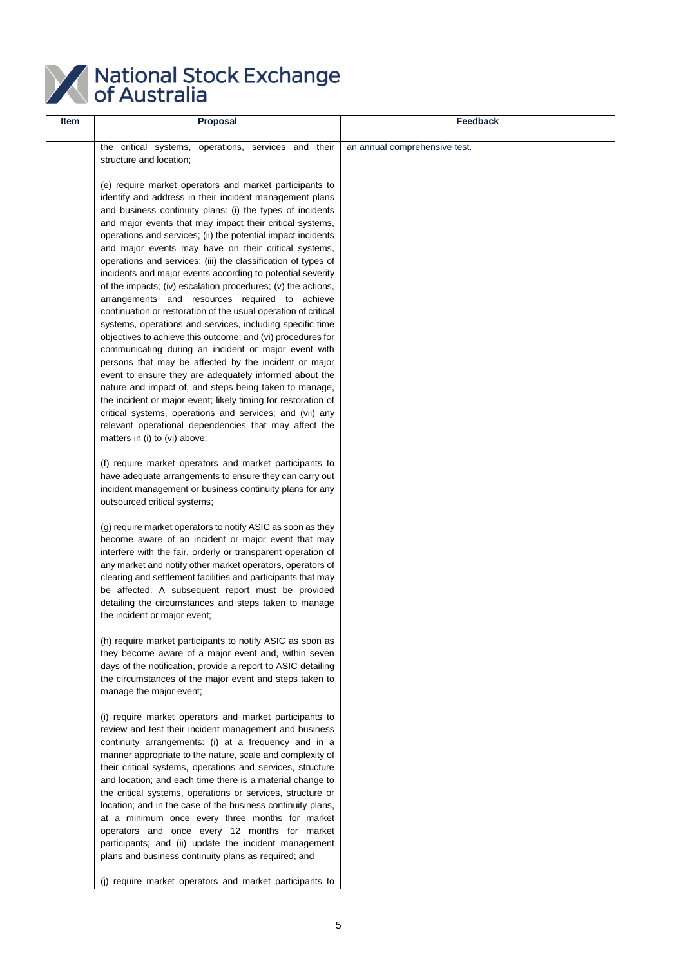

| Item | <b>Proposal</b>                                                                                                                                                                                                                                                                                                                                                                                                                                                                                                                                                                                                                                                                                                                                                                                                                                                                                                                                                                                                                                                                                                                                                                                                                                                                | Feedback                      |
|------|--------------------------------------------------------------------------------------------------------------------------------------------------------------------------------------------------------------------------------------------------------------------------------------------------------------------------------------------------------------------------------------------------------------------------------------------------------------------------------------------------------------------------------------------------------------------------------------------------------------------------------------------------------------------------------------------------------------------------------------------------------------------------------------------------------------------------------------------------------------------------------------------------------------------------------------------------------------------------------------------------------------------------------------------------------------------------------------------------------------------------------------------------------------------------------------------------------------------------------------------------------------------------------|-------------------------------|
|      | the critical systems, operations, services and their<br>structure and location;                                                                                                                                                                                                                                                                                                                                                                                                                                                                                                                                                                                                                                                                                                                                                                                                                                                                                                                                                                                                                                                                                                                                                                                                | an annual comprehensive test. |
|      | (e) require market operators and market participants to<br>identify and address in their incident management plans<br>and business continuity plans: (i) the types of incidents<br>and major events that may impact their critical systems,<br>operations and services; (ii) the potential impact incidents<br>and major events may have on their critical systems,<br>operations and services; (iii) the classification of types of<br>incidents and major events according to potential severity<br>of the impacts; (iv) escalation procedures; (v) the actions,<br>arrangements and resources required to achieve<br>continuation or restoration of the usual operation of critical<br>systems, operations and services, including specific time<br>objectives to achieve this outcome; and (vi) procedures for<br>communicating during an incident or major event with<br>persons that may be affected by the incident or major<br>event to ensure they are adequately informed about the<br>nature and impact of, and steps being taken to manage,<br>the incident or major event; likely timing for restoration of<br>critical systems, operations and services; and (vii) any<br>relevant operational dependencies that may affect the<br>matters in (i) to (vi) above; |                               |
|      | (f) require market operators and market participants to<br>have adequate arrangements to ensure they can carry out<br>incident management or business continuity plans for any<br>outsourced critical systems;                                                                                                                                                                                                                                                                                                                                                                                                                                                                                                                                                                                                                                                                                                                                                                                                                                                                                                                                                                                                                                                                 |                               |
|      | (g) require market operators to notify ASIC as soon as they<br>become aware of an incident or major event that may<br>interfere with the fair, orderly or transparent operation of<br>any market and notify other market operators, operators of<br>clearing and settlement facilities and participants that may<br>be affected. A subsequent report must be provided<br>detailing the circumstances and steps taken to manage<br>the incident or major event;                                                                                                                                                                                                                                                                                                                                                                                                                                                                                                                                                                                                                                                                                                                                                                                                                 |                               |
|      | (h) require market participants to notify ASIC as soon as<br>they become aware of a major event and, within seven<br>days of the notification, provide a report to ASIC detailing<br>the circumstances of the major event and steps taken to<br>manage the major event;                                                                                                                                                                                                                                                                                                                                                                                                                                                                                                                                                                                                                                                                                                                                                                                                                                                                                                                                                                                                        |                               |
|      | (i) require market operators and market participants to<br>review and test their incident management and business<br>continuity arrangements: (i) at a frequency and in a<br>manner appropriate to the nature, scale and complexity of<br>their critical systems, operations and services, structure<br>and location; and each time there is a material change to<br>the critical systems, operations or services, structure or<br>location; and in the case of the business continuity plans,<br>at a minimum once every three months for market<br>operators and once every 12 months for market<br>participants; and (ii) update the incident management<br>plans and business continuity plans as required; and                                                                                                                                                                                                                                                                                                                                                                                                                                                                                                                                                            |                               |
|      | (j) require market operators and market participants to                                                                                                                                                                                                                                                                                                                                                                                                                                                                                                                                                                                                                                                                                                                                                                                                                                                                                                                                                                                                                                                                                                                                                                                                                        |                               |